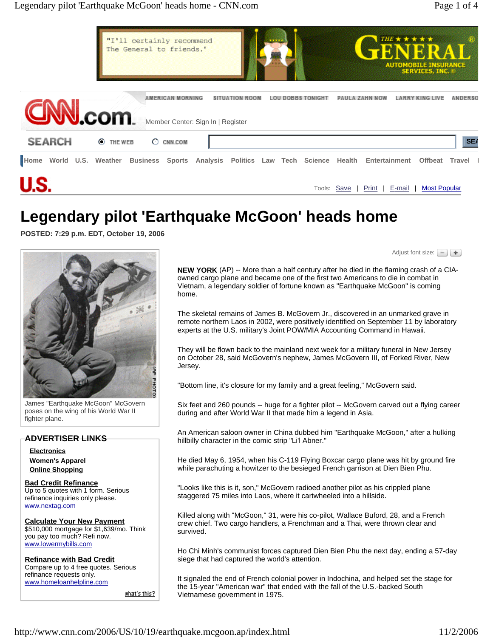

# **Legendary pilot 'Earthquake McGoon' heads home**

**POSTED: 7:29 p.m. EDT, October 19, 2006** 



James "Earthquake McGoon" McGovern poses on the wing of his World War II fighter plane.

### **ADVERTISER LINKS**

**Electronics Women's Apparel Online Shopping**

**Bad Credit Refinance** Up to 5 quotes with 1 form. Serious refinance inquiries only please. www.nextag.com

**Calculate Your New Payment** \$510,000 mortgage for \$1,639/mo. Think you pay too much? Refi now. www.lowermybills.com

**Refinance with Bad Credit** Compare up to 4 free quotes. Serious refinance requests only. www.homeloanhelpline.com

<u>what's this?</u>

Adjust font size:  $\boxed{=}$ 

**NEW YORK** (AP) -- More than a half century after he died in the flaming crash of a CIAowned cargo plane and became one of the first two Americans to die in combat in Vietnam, a legendary soldier of fortune known as "Earthquake McGoon" is coming home.

The skeletal remains of James B. McGovern Jr., discovered in an unmarked grave in remote northern Laos in 2002, were positively identified on September 11 by laboratory experts at the U.S. military's Joint POW/MIA Accounting Command in Hawaii.

They will be flown back to the mainland next week for a military funeral in New Jersey on October 28, said McGovern's nephew, James McGovern III, of Forked River, New Jersey.

"Bottom line, it's closure for my family and a great feeling," McGovern said.

Six feet and 260 pounds -- huge for a fighter pilot -- McGovern carved out a flying career during and after World War II that made him a legend in Asia.

An American saloon owner in China dubbed him "Earthquake McGoon," after a hulking hillbilly character in the comic strip "Li'l Abner."

He died May 6, 1954, when his C-119 Flying Boxcar cargo plane was hit by ground fire while parachuting a howitzer to the besieged French garrison at Dien Bien Phu.

"Looks like this is it, son," McGovern radioed another pilot as his crippled plane staggered 75 miles into Laos, where it cartwheeled into a hillside.

Killed along with "McGoon," 31, were his co-pilot, Wallace Buford, 28, and a French crew chief. Two cargo handlers, a Frenchman and a Thai, were thrown clear and survived.

Ho Chi Minh's communist forces captured Dien Bien Phu the next day, ending a 57-day siege that had captured the world's attention.

It signaled the end of French colonial power in Indochina, and helped set the stage for the 15-year "American war" that ended with the fall of the U.S.-backed South Vietnamese government in 1975.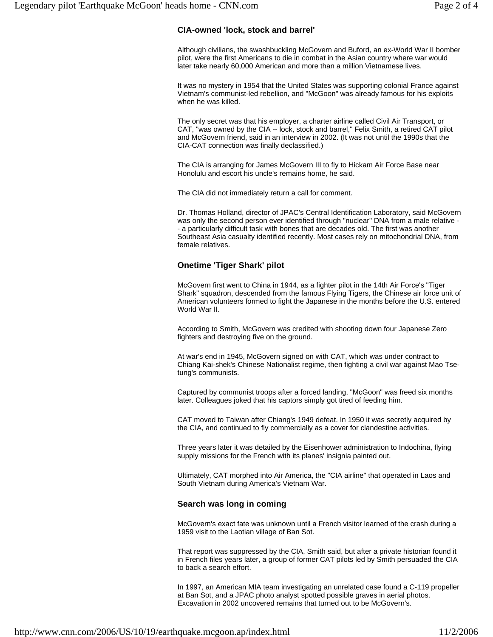## **CIA-owned 'lock, stock and barrel'**

Although civilians, the swashbuckling McGovern and Buford, an ex-World War II bomber pilot, were the first Americans to die in combat in the Asian country where war would later take nearly 60,000 American and more than a million Vietnamese lives.

It was no mystery in 1954 that the United States was supporting colonial France against Vietnam's communist-led rebellion, and "McGoon" was already famous for his exploits when he was killed.

The only secret was that his employer, a charter airline called Civil Air Transport, or CAT, "was owned by the CIA -- lock, stock and barrel," Felix Smith, a retired CAT pilot and McGovern friend, said in an interview in 2002. (It was not until the 1990s that the CIA-CAT connection was finally declassified.)

The CIA is arranging for James McGovern III to fly to Hickam Air Force Base near Honolulu and escort his uncle's remains home, he said.

The CIA did not immediately return a call for comment.

Dr. Thomas Holland, director of JPAC's Central Identification Laboratory, said McGovern was only the second person ever identified through "nuclear" DNA from a male relative - - a particularly difficult task with bones that are decades old. The first was another Southeast Asia casualty identified recently. Most cases rely on mitochondrial DNA, from female relatives.

## **Onetime 'Tiger Shark' pilot**

McGovern first went to China in 1944, as a fighter pilot in the 14th Air Force's "Tiger Shark" squadron, descended from the famous Flying Tigers, the Chinese air force unit of American volunteers formed to fight the Japanese in the months before the U.S. entered World War II.

According to Smith, McGovern was credited with shooting down four Japanese Zero fighters and destroying five on the ground.

At war's end in 1945, McGovern signed on with CAT, which was under contract to Chiang Kai-shek's Chinese Nationalist regime, then fighting a civil war against Mao Tsetung's communists.

Captured by communist troops after a forced landing, "McGoon" was freed six months later. Colleagues joked that his captors simply got tired of feeding him.

CAT moved to Taiwan after Chiang's 1949 defeat. In 1950 it was secretly acquired by the CIA, and continued to fly commercially as a cover for clandestine activities.

Three years later it was detailed by the Eisenhower administration to Indochina, flying supply missions for the French with its planes' insignia painted out.

Ultimately, CAT morphed into Air America, the "CIA airline" that operated in Laos and South Vietnam during America's Vietnam War.

### **Search was long in coming**

McGovern's exact fate was unknown until a French visitor learned of the crash during a 1959 visit to the Laotian village of Ban Sot.

That report was suppressed by the CIA, Smith said, but after a private historian found it in French files years later, a group of former CAT pilots led by Smith persuaded the CIA to back a search effort.

In 1997, an American MIA team investigating an unrelated case found a C-119 propeller at Ban Sot, and a JPAC photo analyst spotted possible graves in aerial photos. Excavation in 2002 uncovered remains that turned out to be McGovern's.